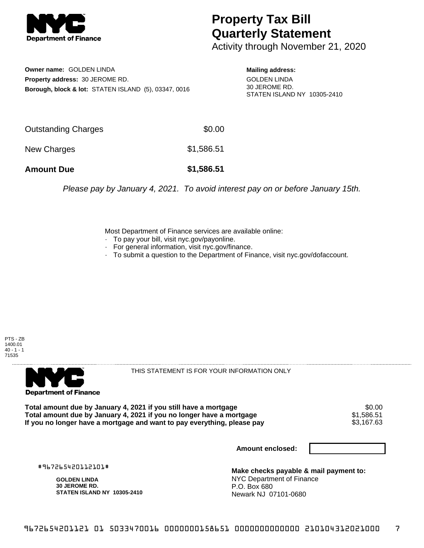

## **Property Tax Bill Quarterly Statement**

Activity through November 21, 2020

**Owner name:** GOLDEN LINDA **Property address:** 30 JEROME RD. **Borough, block & lot:** STATEN ISLAND (5), 03347, 0016

**Mailing address:** GOLDEN LINDA 30 JEROME RD. STATEN ISLAND NY 10305-2410

| <b>Amount Due</b>   | \$1,586.51 |
|---------------------|------------|
| New Charges         | \$1,586.51 |
| Outstanding Charges | \$0.00     |

Please pay by January 4, 2021. To avoid interest pay on or before January 15th.

Most Department of Finance services are available online:

- · To pay your bill, visit nyc.gov/payonline.
- For general information, visit nyc.gov/finance.
- · To submit a question to the Department of Finance, visit nyc.gov/dofaccount.





THIS STATEMENT IS FOR YOUR INFORMATION ONLY

Total amount due by January 4, 2021 if you still have a mortgage  $$0.00$ <br>Total amount due by January 4, 2021 if you no longer have a mortgage  $$1,586.51$ **Total amount due by January 4, 2021 if you no longer have a mortgage**  $$1,586.51$ **<br>If you no longer have a mortgage and want to pay everything, please pay <b>show that the summan set of the s**3,167.63 If you no longer have a mortgage and want to pay everything, please pay

**Amount enclosed:**

#967265420112101#

**GOLDEN LINDA 30 JEROME RD. STATEN ISLAND NY 10305-2410**

**Make checks payable & mail payment to:** NYC Department of Finance P.O. Box 680 Newark NJ 07101-0680